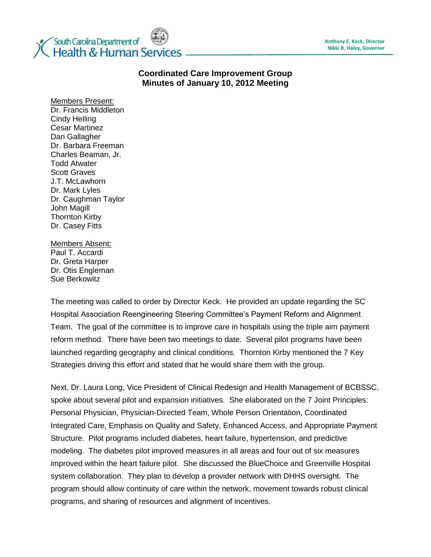

## **Coordinated Care Improvement Group Minutes of January 10, 2012 Meeting**

Members Present: Dr. Francis Middleton Cindy Helling Cesar Martinez Dan Gallagher Dr. Barbara Freeman Charles Beaman, Jr. Todd Atwater Scott Graves J.T. McLawhorn Dr. Mark Lyles Dr. Caughman Taylor John Magill Thornton Kirby Dr. Casey Fitts

## Members Absent:

Paul T. Accardi Dr. Greta Harper Dr. Otis Engleman Sue Berkowitz

The meeting was called to order by Director Keck. He provided an update regarding the SC Hospital Association Reengineering Steering Committee's Payment Reform and Alignment Team. The goal of the committee is to improve care in hospitals using the triple aim payment reform method. There have been two meetings to date. Several pilot programs have been launched regarding geography and clinical conditions. Thornton Kirby mentioned the 7 Key Strategies driving this effort and stated that he would share them with the group.

Next, Dr. Laura Long, Vice President of Clinical Redesign and Health Management of BCBSSC, spoke about several pilot and expansion initiatives. She elaborated on the 7 Joint Principles: Personal Physician, Physician-Directed Team, Whole Person Orientation, Coordinated Integrated Care, Emphasis on Quality and Safety, Enhanced Access, and Appropriate Payment Structure. Pilot programs included diabetes, heart failure, hypertension, and predictive modeling. The diabetes pilot improved measures in all areas and four out of six measures improved within the heart failure pilot. She discussed the BlueChoice and Greenville Hospital system collaboration. They plan to develop a provider network with DHHS oversight. The program should allow continuity of care within the network, movement towards robust clinical programs, and sharing of resources and alignment of incentives.